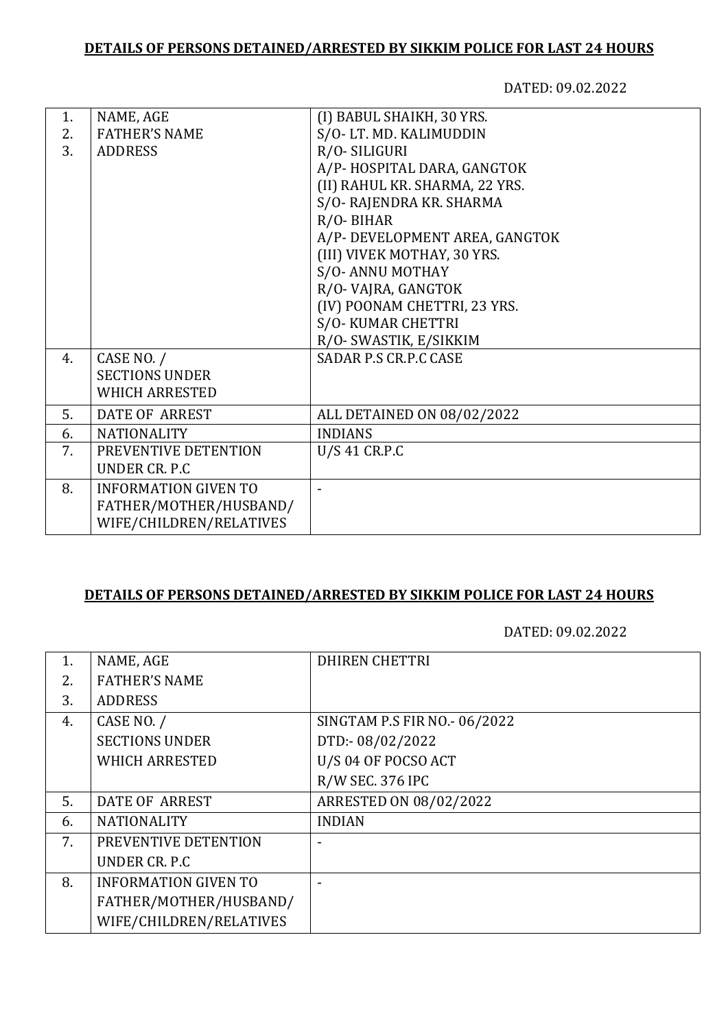### **DETAILS OF PERSONS DETAINED/ARRESTED BY SIKKIM POLICE FOR LAST 24 HOURS**

DATED: 09.02.2022

| 1. | NAME, AGE                   | (I) BABUL SHAIKH, 30 YRS.      |
|----|-----------------------------|--------------------------------|
| 2. | <b>FATHER'S NAME</b>        | S/O-LT. MD. KALIMUDDIN         |
| 3. | <b>ADDRESS</b>              | R/O-SILIGURI                   |
|    |                             | A/P-HOSPITAL DARA, GANGTOK     |
|    |                             | (II) RAHUL KR. SHARMA, 22 YRS. |
|    |                             | S/O-RAJENDRA KR. SHARMA        |
|    |                             | $R/O-BIHAR$                    |
|    |                             | A/P- DEVELOPMENT AREA, GANGTOK |
|    |                             | (III) VIVEK MOTHAY, 30 YRS.    |
|    |                             | S/O-ANNU MOTHAY                |
|    |                             | R/O-VAJRA, GANGTOK             |
|    |                             | (IV) POONAM CHETTRI, 23 YRS.   |
|    |                             | S/O-KUMAR CHETTRI              |
|    |                             | R/O- SWASTIK, E/SIKKIM         |
| 4. | CASE NO. /                  | <b>SADAR P.S CR.P.C CASE</b>   |
|    | <b>SECTIONS UNDER</b>       |                                |
|    | <b>WHICH ARRESTED</b>       |                                |
| 5. | <b>DATE OF ARREST</b>       | ALL DETAINED ON 08/02/2022     |
| 6. | <b>NATIONALITY</b>          | <b>INDIANS</b>                 |
| 7. | PREVENTIVE DETENTION        | U/S 41 CR.P.C                  |
|    | UNDER CR. P.C.              |                                |
| 8. | <b>INFORMATION GIVEN TO</b> | ÷                              |
|    | FATHER/MOTHER/HUSBAND/      |                                |
|    | WIFE/CHILDREN/RELATIVES     |                                |
|    |                             |                                |

### **DETAILS OF PERSONS DETAINED/ARRESTED BY SIKKIM POLICE FOR LAST 24 HOURS**

DATED: 09.02.2022

| 1. | NAME, AGE                   | <b>DHIREN CHETTRI</b>        |
|----|-----------------------------|------------------------------|
| 2. | <b>FATHER'S NAME</b>        |                              |
| 3. | <b>ADDRESS</b>              |                              |
| 4. | CASE NO. /                  | SINGTAM P.S FIR NO.- 06/2022 |
|    | <b>SECTIONS UNDER</b>       | DTD:-08/02/2022              |
|    | <b>WHICH ARRESTED</b>       | U/S 04 OF POCSO ACT          |
|    |                             | R/W SEC. 376 IPC             |
| 5. | DATE OF ARREST              | ARRESTED ON 08/02/2022       |
| 6. | <b>NATIONALITY</b>          | <b>INDIAN</b>                |
| 7. | PREVENTIVE DETENTION        |                              |
|    | UNDER CR. P.C.              |                              |
| 8. | <b>INFORMATION GIVEN TO</b> |                              |
|    | FATHER/MOTHER/HUSBAND/      |                              |
|    | WIFE/CHILDREN/RELATIVES     |                              |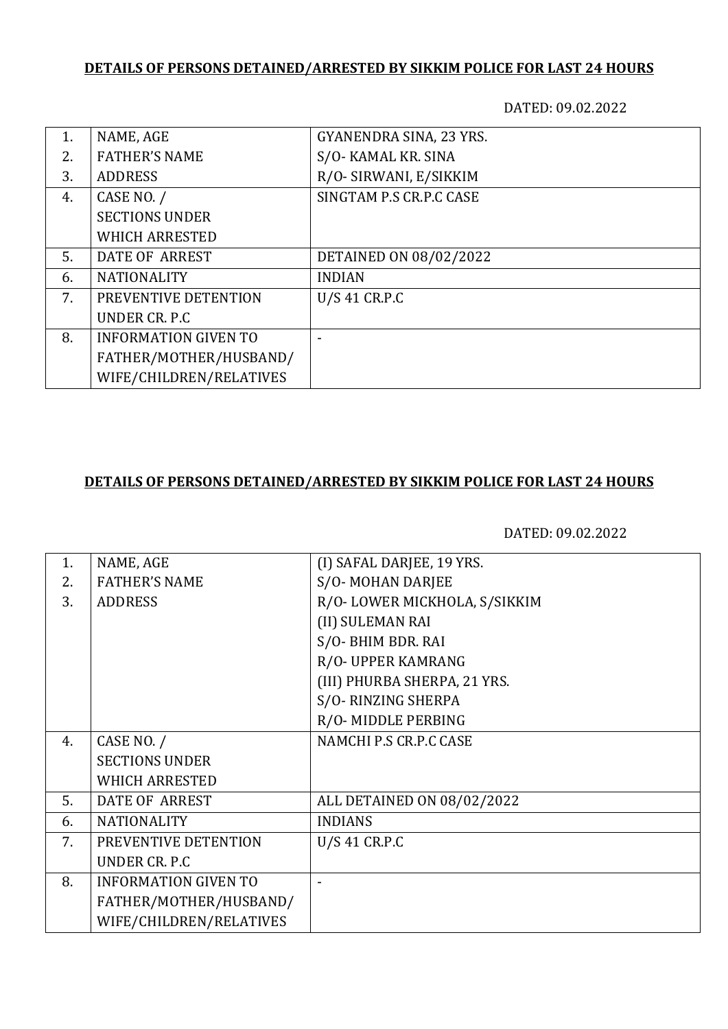# **DETAILS OF PERSONS DETAINED/ARRESTED BY SIKKIM POLICE FOR LAST 24 HOURS**

DATED: 09.02.2022

| 1. | NAME, AGE                   | GYANENDRA SINA, 23 YRS. |
|----|-----------------------------|-------------------------|
| 2. | <b>FATHER'S NAME</b>        | S/O-KAMAL KR. SINA      |
| 3. | <b>ADDRESS</b>              | R/O- SIRWANI, E/SIKKIM  |
| 4. | CASE NO. /                  | SINGTAM P.S CR.P.C CASE |
|    | <b>SECTIONS UNDER</b>       |                         |
|    | <b>WHICH ARRESTED</b>       |                         |
| 5. | DATE OF ARREST              | DETAINED ON 08/02/2022  |
| 6. | <b>NATIONALITY</b>          | <b>INDIAN</b>           |
| 7. | PREVENTIVE DETENTION        | U/S 41 CR.P.C           |
|    | UNDER CR. P.C.              |                         |
| 8. | <b>INFORMATION GIVEN TO</b> |                         |
|    | FATHER/MOTHER/HUSBAND/      |                         |
|    | WIFE/CHILDREN/RELATIVES     |                         |

### **DETAILS OF PERSONS DETAINED/ARRESTED BY SIKKIM POLICE FOR LAST 24 HOURS**

DATED: 09.02.2022

| 1. | NAME, AGE                   | (I) SAFAL DARJEE, 19 YRS.    |
|----|-----------------------------|------------------------------|
| 2. | <b>FATHER'S NAME</b>        | S/O-MOHAN DARJEE             |
| 3. | <b>ADDRESS</b>              | R/O-LOWER MICKHOLA, S/SIKKIM |
|    |                             | (II) SULEMAN RAI             |
|    |                             | S/O-BHIM BDR. RAI            |
|    |                             | R/O- UPPER KAMRANG           |
|    |                             | (III) PHURBA SHERPA, 21 YRS. |
|    |                             | S/O-RINZING SHERPA           |
|    |                             | R/O-MIDDLE PERBING           |
| 4. | CASE NO. /                  | NAMCHI P.S CR.P.C CASE       |
|    | <b>SECTIONS UNDER</b>       |                              |
|    | <b>WHICH ARRESTED</b>       |                              |
| 5. | <b>DATE OF ARREST</b>       | ALL DETAINED ON 08/02/2022   |
| 6. | <b>NATIONALITY</b>          | <b>INDIANS</b>               |
| 7. | PREVENTIVE DETENTION        | U/S 41 CR.P.C                |
|    | UNDER CR. P.C               |                              |
| 8. | <b>INFORMATION GIVEN TO</b> |                              |
|    | FATHER/MOTHER/HUSBAND/      |                              |
|    | WIFE/CHILDREN/RELATIVES     |                              |